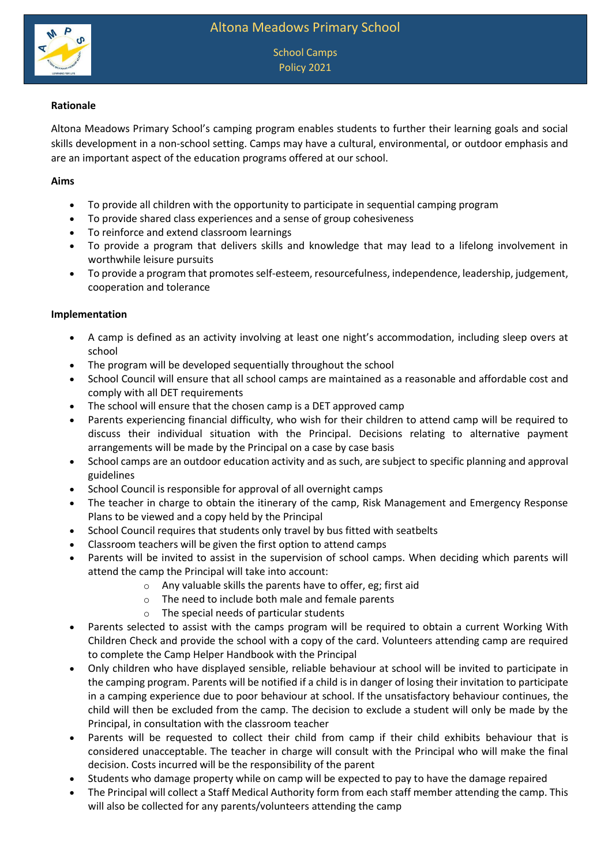

School Camps Policy 2021

# **Rationale**

Altona Meadows Primary School's camping program enables students to further their learning goals and social skills development in a non-school setting. Camps may have a cultural, environmental, or outdoor emphasis and are an important aspect of the education programs offered at our school.

### **Aims**

- To provide all children with the opportunity to participate in sequential camping program
- To provide shared class experiences and a sense of group cohesiveness
- To reinforce and extend classroom learnings
- To provide a program that delivers skills and knowledge that may lead to a lifelong involvement in worthwhile leisure pursuits
- To provide a program that promotes self-esteem, resourcefulness, independence, leadership, judgement, cooperation and tolerance

### **Implementation**

- A camp is defined as an activity involving at least one night's accommodation, including sleep overs at school
- The program will be developed sequentially throughout the school
- School Council will ensure that all school camps are maintained as a reasonable and affordable cost and comply with all DET requirements
- The school will ensure that the chosen camp is a DET approved camp
- Parents experiencing financial difficulty, who wish for their children to attend camp will be required to discuss their individual situation with the Principal. Decisions relating to alternative payment arrangements will be made by the Principal on a case by case basis
- School camps are an outdoor education activity and as such, are subject to specific planning and approval guidelines
- School Council is responsible for approval of all overnight camps
- The teacher in charge to obtain the itinerary of the camp, Risk Management and Emergency Response Plans to be viewed and a copy held by the Principal
- School Council requires that students only travel by bus fitted with seatbelts
- Classroom teachers will be given the first option to attend camps
- Parents will be invited to assist in the supervision of school camps. When deciding which parents will attend the camp the Principal will take into account:
	- o Any valuable skills the parents have to offer, eg; first aid
	- o The need to include both male and female parents
	- o The special needs of particular students
- Parents selected to assist with the camps program will be required to obtain a current Working With Children Check and provide the school with a copy of the card. Volunteers attending camp are required to complete the Camp Helper Handbook with the Principal
- Only children who have displayed sensible, reliable behaviour at school will be invited to participate in the camping program. Parents will be notified if a child is in danger of losing their invitation to participate in a camping experience due to poor behaviour at school. If the unsatisfactory behaviour continues, the child will then be excluded from the camp. The decision to exclude a student will only be made by the Principal, in consultation with the classroom teacher
- Parents will be requested to collect their child from camp if their child exhibits behaviour that is considered unacceptable. The teacher in charge will consult with the Principal who will make the final decision. Costs incurred will be the responsibility of the parent
- Students who damage property while on camp will be expected to pay to have the damage repaired
- The Principal will collect a Staff Medical Authority form from each staff member attending the camp. This will also be collected for any parents/volunteers attending the camp